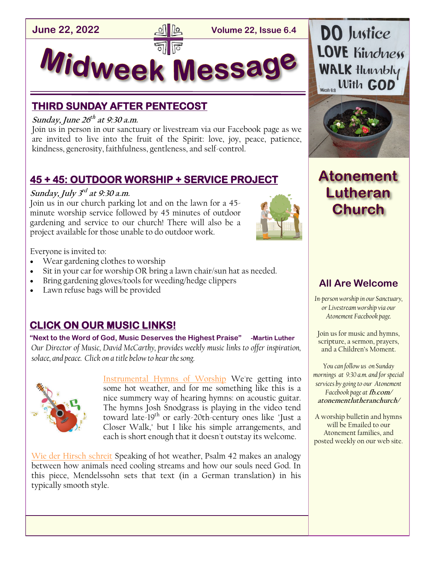

# Midweek Messag

#### **THIRD SUNDAY AFTER PENTECOST**

#### **Sunday, June 26 th at 9:30 a.m.**

Join us in person in our sanctuary or livestream via our Facebook page as we are invited to live into the fruit of the Spirit: love, joy, peace, patience, kindness, generosity, faithfulness, gentleness, and self-control.

#### **45 + 45: OUTDOOR WORSHIP + SERVICE PROJECT**

#### **Sunday, July 3 rd at 9:30 a.m.**

Join us in our church parking lot and on the lawn for a 45 minute worship service followed by 45 minutes of outdoor gardening and service to our church! There will also be a project available for those unable to do outdoor work.



Everyone is invited to:

- Wear gardening clothes to worship
- Sit in your car for worship OR bring a lawn chair/sun hat as needed.
- Bring gardening gloves/tools for weeding/hedge clippers
- Lawn refuse bags will be provided

#### **CLICK ON OUR MUSIC LINKS!**

*Our Director of Music, David McCarthy, provides weekly music links to offer inspiration, solace, and peace. Click on a title below to hear the song.* **"Next to the Word of God, Music Deserves the Highest Praise" -Martin Luther** 



[Instrumental Hymns of Worship](https://www.youtube.com/watch?v=EStyjJL_wvg) We're getting into some hot weather, and for me something like this is a nice summery way of hearing hymns: on acoustic guitar. The hymns Josh Snodgrass is playing in the video tend toward late- $19<sup>th</sup>$  or early-20th-century ones like "Just a Closer Walk," but I like his simple arrangements, and each is short enough that it doesn't outstay its welcome.

[Wie der Hirsch schreit](https://www.youtube.com/watch?v=E0saNS3yLF0) Speaking of hot weather, Psalm 42 makes an analogy between how animals need cooling streams and how our souls need God. In this piece, Mendelssohn sets that text (in a German translation) in his typically smooth style.

# **DO** Justice **LOVE** Kindness **WALK Humbly** Micah 6:8 With GOD



# **Atonement Lutheran Church**

### **All Are Welcome**

*In-person worship in our Sanctuary, or Livestream worship via our Atonement Facebook page.* 

Join us for music and hymns, scripture, a sermon, prayers, and a Children's Moment.

*You can follow us on Sunday mornings at 9:30 a.m. and for special services by going to our Atonement Facebook page at* **fb.com/ atonementlutheranchurch/**

A worship bulletin and hymns will be Emailed to our Atonement families, and posted weekly on our web site.